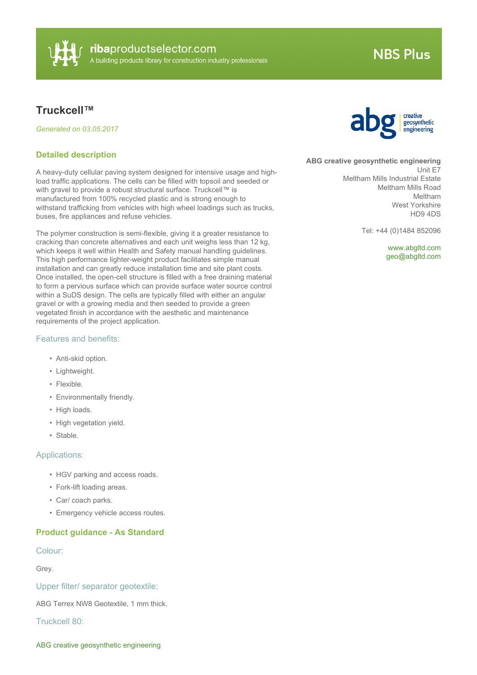

## **NBS Plus**

### **Truckcell™**

*Generated on 03.05.2017*

#### **Detailed description**

A heavy-duty cellular paving system designed for intensive usage and highload traffic applications. The cells can be filled with topsoil and seeded or with gravel to provide a robust structural surface. Truckcell™ is manufactured from 100% recycled plastic and is strong enough to withstand trafficking from vehicles with high wheel loadings such as trucks, buses, fire appliances and refuse vehicles.

The polymer construction is semi-flexible, giving it a greater resistance to cracking than concrete alternatives and each unit weighs less than 12 kg, which keeps it well within Health and Safety manual handling guidelines. This high performance lighter-weight product facilitates simple manual installation and can greatly reduce installation time and site plant costs. Once installed, the open-cell structure is filled with a free draining material to form a pervious surface which can provide surface water source control within a SuDS design. The cells are typically filled with either an angular gravel or with a growing media and then seeded to provide a green vegetated finish in accordance with the aesthetic and maintenance requirements of the project application.

#### Features and benefits:

- Anti-skid option.
- Lightweight.
- Flexible.
- Environmentally friendly.
- High loads.
- High vegetation yield.
- Stable.

#### Applications:

- HGV parking and access roads.
- Fork-lift loading areas.
- Car/ coach parks.
- Emergency vehicle access routes.

#### **Product guidance - As Standard**

#### Colour:

Grey.

Upper filter/ separator geotextile:

ABG Terrex NW8 Geotextile, 1 mm thick.

Truckcell 80:



#### **ABG creative geosynthetic engineering**

Unit E7 Meltham Mills Industrial Estate Meltham Mills Road Meltham West Yorkshire HD9 4DS

Tel: +44 (0)1484 852096

<www.abgltd.com> [geo@abgltd.com](mailto:geo@abgltd.com?subject=Truckcell�)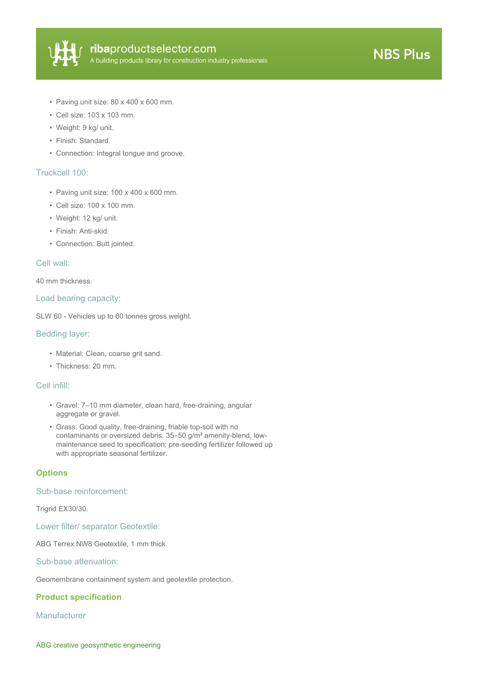

- Paving unit size: 80 x 400 x 600 mm.
- Cell size: 103 x 103 mm.
- Weight: 9 kg/ unit.
- Finish: Standard.
- Connection: Integral tongue and groove.

#### Truckcell 100:

- Paving unit size: 100 x 400 x 600 mm.
- Cell size: 100 x 100 mm.
- Weight: 12 kg/ unit.
- Finish: Anti-skid.
- Connection: Butt jointed.

#### Cell wall:

40 mm thickness.

#### Load bearing capacity:

SLW 60 - Vehicles up to 60 tonnes gross weight.

#### Bedding layer:

- Material: Clean, coarse grit sand.
- Thickness: 20 mm.

#### Cell infill:

- Gravel: 7–10 mm diameter, clean hard, free-draining, angular aggregate or gravel.
- Grass: Good quality, free-draining, friable top-soil with no contaminants or oversized debris. 35–50 g/m² amenity-blend, lowmaintenance seed to specification; pre-seeding fertilizer followed up with appropriate seasonal fertilizer.

#### **Options**

#### Sub-base reinforcement:

Trigrid EX30/30.

Lower filter/ separator Geotextile:

ABG Terrex NW8 Geotextile, 1 mm thick.

Sub-base attenuation:

Geomembrane containment system and geotextile protection.

#### **Product specification**

**Manufacturer**